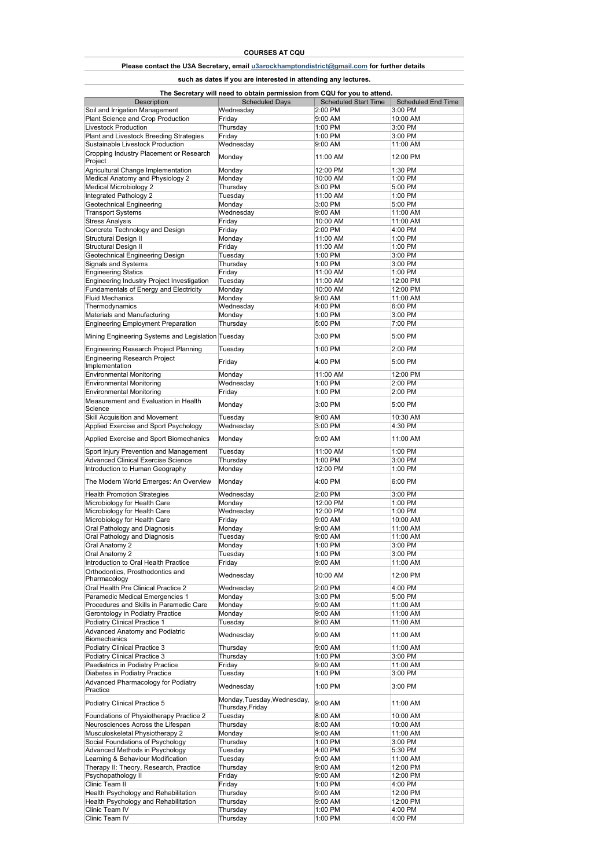## **COURSES AT CQU**

## **Please contact the U3A Secretary, email u3arockhamptondistrict@gmail.com for further details**

## **such as dates if you are interested in attending any lectures.**

|                                                                         | The Secretary will need to obtain permission from CQU for you to attend. |                             |                           |
|-------------------------------------------------------------------------|--------------------------------------------------------------------------|-----------------------------|---------------------------|
| Description                                                             | <b>Scheduled Days</b>                                                    | <b>Scheduled Start Time</b> | <b>Scheduled End Time</b> |
| Soil and Irrigation Management                                          | Wednesday                                                                | 2:00 PM                     | 3:00 PM                   |
| Plant Science and Crop Production                                       | Friday                                                                   | 9:00 AM                     | 10:00 AM                  |
| <b>Livestock Production</b>                                             | Thursday                                                                 | 1:00 PM                     | 3:00 PM                   |
| Plant and Livestock Breeding Strategies                                 | Friday                                                                   | 1:00 PM                     | 3:00 PM                   |
| Sustainable Livestock Production                                        | Wednesday                                                                | 9:00 AM                     | 11:00 AM                  |
| Cropping Industry Placement or Research<br>Project                      | Monday                                                                   | 11:00 AM                    | 12:00 PM                  |
| Agricultural Change Implementation                                      | Monday                                                                   | 12:00 PM                    | 1:30 PM                   |
| Medical Anatomy and Physiology 2                                        | Monday                                                                   | 10:00 AM                    | 1:00 PM                   |
| Medical Microbiology 2                                                  | Thursday                                                                 | 3:00 PM                     | 5:00 PM                   |
| Integrated Pathology 2                                                  | Tuesday                                                                  | 11:00 AM                    | 1:00 PM                   |
| Geotechnical Engineering                                                | Monday                                                                   | 3:00 PM                     | 5:00 PM                   |
| <b>Transport Systems</b>                                                | Wednesday                                                                | 9:00 AM                     | 11:00 AM                  |
| Stress Analysis                                                         | Friday                                                                   | 10:00 AM                    | 11:00 AM                  |
| Concrete Technology and Design                                          | Friday                                                                   | 2:00 PM                     | 4:00 PM                   |
| Structural Design II                                                    | Monday                                                                   | 11:00 AM                    | 1:00 PM                   |
| Structural Design II                                                    | Friday                                                                   | 11:00 AM                    | 1:00 PM                   |
| Geotechnical Engineering Design                                         | Tuesday                                                                  | 1:00 PM                     | 3:00 PM                   |
| Signals and Systems                                                     | Thursday                                                                 | 1:00 PM                     | 3:00 PM                   |
| <b>Engineering Statics</b>                                              | Friday                                                                   | 11:00 AM                    | 1:00 PM                   |
| Engineering Industry Project Investigation                              | Tuesday                                                                  | 11:00 AM                    | 12:00 PM                  |
| Fundamentals of Energy and Electricity                                  | Monday                                                                   | 10:00 AM                    | 12:00 PM                  |
| <b>Fluid Mechanics</b>                                                  | Monday                                                                   | 9:00 AM                     | 11:00 AM                  |
| Thermodvnamics                                                          | Wednesday                                                                | 4:00 PM                     | 6:00 PM                   |
| Materials and Manufacturing                                             | Monday                                                                   | 1:00 PM                     | 3:00 PM                   |
| <b>Engineering Employment Preparation</b>                               | Thursday                                                                 | 5:00 PM                     | 7:00 PM                   |
| Mining Engineering Systems and Legislation Tuesday                      |                                                                          | 3:00 PM                     | 5:00 PM                   |
| Engineering Research Project Planning                                   | Tuesday                                                                  | 1:00 PM                     | 2:00 PM                   |
| <b>Engineering Research Project</b>                                     |                                                                          |                             |                           |
| Implementation                                                          | Friday                                                                   | 4:00 PM                     | 5:00 PM                   |
| <b>Environmental Monitoring</b>                                         | Monday                                                                   | 11:00 AM                    | 12:00 PM                  |
| <b>Environmental Monitoring</b>                                         | Wednesday                                                                | 1:00 PM                     | 2:00 PM                   |
| <b>Environmental Monitoring</b>                                         | Friday                                                                   | 1:00 PM                     | 2:00 PM                   |
| Measurement and Evaluation in Health                                    | Monday                                                                   | 3:00 PM                     | 5:00 PM                   |
| Science                                                                 |                                                                          |                             |                           |
| Skill Acquisition and Movement<br>Applied Exercise and Sport Psychology | Tuesday<br>Wednesday                                                     | 9:00 AM<br>3:00 PM          | 10:30 AM<br>4:30 PM       |
| Applied Exercise and Sport Biomechanics                                 | Monday                                                                   | 9:00 AM                     | 11:00 AM                  |
| Sport Injury Prevention and Management                                  | Tuesday                                                                  | 11:00 AM                    | 1:00 PM                   |
| <b>Advanced Clinical Exercise Science</b>                               | Thursday                                                                 | 1:00 PM                     | 3:00 PM                   |
| Introduction to Human Geography                                         | Monday                                                                   | 12:00 PM                    | 1:00 PM                   |
| The Modern World Emerges: An Overview                                   | Monday                                                                   | 4:00 PM                     | 6:00 PM                   |
| <b>Health Promotion Strategies</b>                                      | Wednesday                                                                | 2:00 PM                     | 3:00 PM                   |
| Microbiology for Health Care                                            | Monday                                                                   | 12:00 PM                    | 1:00 PM                   |
| Microbiology for Health Care                                            | Wednesday                                                                | 12:00 PM                    | 1:00 PM                   |
| Microbiology for Health Care                                            | Friday                                                                   | 9:00 AM                     | 10:00 AM                  |
| Oral Pathology and Diagnosis                                            | Monday                                                                   | 9:00 AM                     | 11:00 AM                  |
| Oral Pathology and Diagnosis                                            | Tuesday                                                                  | 9:00 AM                     | 11:00 AM                  |
| Oral Anatomy 2                                                          | Monday                                                                   | 1:00 PM                     | 3:00 PM                   |
| Oral Anatomy 2                                                          | Tuesday                                                                  | 1:00 PM                     | 3:00 PM                   |
| Introduction to Oral Health Practice                                    | Friday                                                                   | 9:00 AM                     | 11:00 AM                  |
| Orthodontics, Prosthodontics and                                        | Wednesday                                                                | 10:00 AM                    | 12:00 PM                  |
| Pharmacology                                                            |                                                                          |                             |                           |
| Oral Health Pre Clinical Practice 2                                     | Wednesday                                                                | 2:00 PM                     | 4:00 PM                   |
| Paramedic Medical Emergencies 1                                         | Monday                                                                   | 3:00 PM                     | 5:00 PM                   |
| Procedures and Skills in Paramedic Care                                 | Monday                                                                   | 9:00 AM                     | 11:00 AM                  |
| Gerontology in Podiatry Practice                                        | Monday                                                                   | 9:00 AM                     | 11:00 AM                  |
| Podiatry Clinical Practice 1                                            | Tuesday                                                                  | 9:00 AM                     | 11:00 AM                  |
| Advanced Anatomy and Podiatric<br><b>Biomechanics</b>                   | Wednesday                                                                | 9:00 AM                     | 11:00 AM                  |
| Podiatry Clinical Practice 3                                            | Thursday                                                                 | 9:00 AM                     | 11:00 AM                  |
| Podiatry Clinical Practice 3                                            | Thursday                                                                 | 1:00 PM                     | 3:00 PM                   |
| Paediatrics in Podiatry Practice                                        | Friday                                                                   | 9:00 AM                     | 11:00 AM                  |
| Diabetes in Podiatry Practice                                           | Tuesday                                                                  | 1:00 PM                     | 3:00 PM                   |
| Advanced Pharmacology for Podiatry<br>Practice                          | Wednesday                                                                | 1:00 PM                     | 3:00 PM                   |
| Podiatry Clinical Practice 5                                            | Monday, Tuesday, Wednesday,<br>Thursday, Friday                          | 9:00 AM                     | 11:00 AM                  |
| Foundations of Physiotherapy Practice 2                                 | Tuesday                                                                  | 8:00 AM                     | 10:00 AM                  |
| Neurosciences Across the Lifespan                                       | Thursday                                                                 | 8:00 AM                     | 10:00 AM                  |
| Musculoskeletal Physiotherapy 2                                         | Monday                                                                   | 9:00 AM                     | 11:00 AM                  |
| Social Foundations of Psychology                                        | Thursday                                                                 | 1:00 PM                     | 3:00 PM                   |
| Advanced Methods in Psychology                                          | Tuesday                                                                  | 4:00 PM                     | 5:30 PM                   |
| Learning & Behaviour Modification                                       | Tuesday                                                                  | 9:00 AM                     | 11:00 AM                  |
| Therapy II: Theory, Research, Practice                                  | Thursday                                                                 | 9:00 AM                     | 12:00 PM                  |
| Psychopathology II                                                      | Friday                                                                   | 9:00 AM                     | 12:00 PM                  |
| Clinic Team II                                                          | Friday                                                                   | 1:00 PM                     | 4:00 PM                   |
| Health Psychology and Rehabilitation                                    | Thursday                                                                 | 9:00 AM                     | 12:00 PM                  |
| Health Psychology and Rehabilitation                                    | Thursday                                                                 | 9:00 AM                     | 12:00 PM                  |
| Clinic Team IV                                                          | Thursday                                                                 | 1:00 PM                     | 4:00 PM                   |
| Clinic Team IV                                                          | Thursday                                                                 | 1:00 PM                     | 4:00 PM                   |